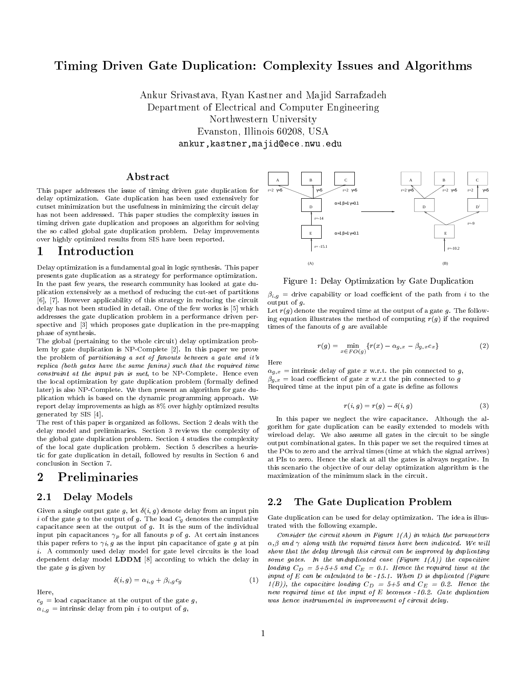# Timing Driven Gate Duplication: Complexity Issues and Algorithms

Ankur Srivastava, Ryan Kastner and Majid Sarrafzadeh Department of Electrical and Computer Engineering northwestern University (University Company) Evanston, Illinois 60208, USA ankur,kastner,majid@ece.nwu.edu

## ${\bf A} \, {\bf b} {\bf struct}$

This paper addresses the issue of timing driven gate duplication for delay optimization. Gate duplication has been used extensively for cutset minimization but the usefulness in minimizing the circuit delay has not been addressed. This paper studies the complexity issues in timing driven gate duplication and proposes an algorithm for solving the so called global gate duplication problem. Delay improvements over highly optimized results from SIS have been reported.

## 1 Introduction

Delay optimization is a fundamental goal in logic synthesis. This paper presents gate duplication as a strategy for performance optimization. In the past few years, the research community has looked at gate duplication extensively as a method of reducing the cut-set of partitions [6], [7]. However applicability of this strategy in reducing the circuit delay has not been studied in detail. One of the few works is [5] which addresses the gate duplication problem in a performance driven perspective and [3] which proposes gate duplication in the pre-mapping phase of synthesis.

The global (pertaining to the whole circuit) delay optimization problem by gate duplication is NP-Complete [2]. In this paper we prove the problem of partitioning a set of fanouts between a gate and it's replica (both gates have the same fanins) such that the required time constraint at the input pin is met, to be NP-Complete. Hence even the local optimization by gate duplication problem (formally defined later) is also NP-Complete. We then present an algorithm for gate duplication which is based on the dynamic programming approach. We report delay improvements as high as 8% over highly optimized results generated by SIS [4].

The rest of this paper is organized as follows. Section 2 deals with the delay model and preliminaries. Section 3 reviews the complexity of the global gate duplication problem. Section 4 studies the complexity of the local gate duplication problem. Section 5 describes a heuristic for gate duplication in detail, followed by results in Section 6 and conclusion in Section 7.

# 2 Preliminaries

## 2.1 Delay Models

Given a single output gate g, let  $\delta(i, g)$  denote delay from an input pin i of the gate g to the output of g. The load  $C_g$  denotes the cumulative capacitance seen at the output of  $g$ . It is the sum of the individual input pin capacitances  $\gamma_p$  for all fanouts p of g. At certain instances this paper refers to  $\gamma i, g$  as the input pin capacitance of gate g at pin i. A commonly used delay model for gate level circuits is the load dependent delay model LDDM [8] according to which the delay in the gate  $q$  is given by

$$
\delta(i,g) = \alpha_{i,g} + \beta_{i,g}c_g \tag{1} \tag{1} \tag{1}
$$

Here Here,

 $c_g$  = load capacitance at the output of the gate g,  $\alpha_{i,q}$  = intrinsic delay from pin *i* to output of g,



Figure 1: Delay Optimization by Gate Duplication

 $\beta_{i,g}$  = drive capability or load coefficient of the path from i to the output of g.

Let  $r(q)$  denote the required time at the output of a gate g. The following equation illustrates the method of computing  $r(q)$  if the required times of the fanouts of  $g$  are available

$$
r(g) = \min_{x \in FO(g)} \{r(x) - \alpha_{g,x} - \beta_{g,x} c_x\}
$$
 (2)

 $\alpha_{g,x}$  = intrinsic delay of gate x w.r.t. the pin connected to q,  $\beta_{g,x} =$  load coefficient of gate x w.r.t the pin connected to g Required time at the input pin of a gate is define as follows

$$
r(i,g) = r(g) - \delta(i,g) \tag{3}
$$

In this paper we neglect the wire capacitance. Although the algorithm for gate duplication can be easily extended to models with wireload delay. We also assume all gates in the circuit to be single output combinational gates. In this paper we set the required times at the POs to zero and the arrival times (time at which the signal arrives) at PIs to zero. Hence the slack at all the gates is always negative. In this scenario the ob jective of our delay optimization algorithm is the maximization of the minimum slack in the circuit.

## 2.2 The Gate Duplication Problem

Gate duplication can be used for delay optimization. The idea is illustrated with the following example.

Consider the circuit shown in Figure  $1(A)$  in which the parameters  $\alpha, \beta$  and  $\gamma$  along with the required times have been indicated. We will show that the delay through this circuit can be improved by duplicating some gates. In the unduplicated case (Figure  $1(A)$ ) the capacitive loading  $C_D = 5+5+5$  and  $C_E = 0.1$ . Hence the required time at the input of  $E$  can be calculated to be  $-15.1$ . When  $D$  is duplicated (Figure  $1(B)$ ), the capacitive loading  $C_D = 5+5$  and  $C_E = 0.2$ . Hence the new required time at the input of E becomes -10.2. Gate duplication was hence instrumental in improvement of circuit delay.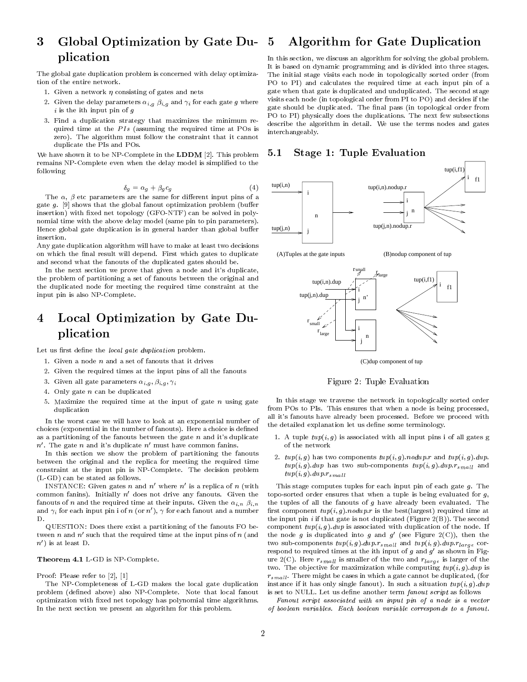#### 3 Global Optimization by Gate Duplication 5 Algorithm for Gate Duplication

The global gate duplication problem is concerned with delay optimization of the entire network.

- 1. Given a network  $\eta$  consisting of gates and nets
- 2. Given the delay parameters  $\alpha_{i,g}$   $\beta_{i,g}$  and  $\gamma_i$  for each gate g where  $i$  is the ith input pin of  $q$
- 3. Find a duplication strategy that maximizes the minimum re quired time at the PIs (assuming the required time at POs is zero). The algorithm must follow the constraint that it cannot duplicate the PIs and POs.

We have shown it to be NP-Complete in the **LDDM** [2]. This problem remains NP-Complete even when the delay model is simplied to the following

$$
\delta_g = \alpha_g + \beta_g c_g \tag{4}
$$

The  $\alpha$ ,  $\beta$  etc parameters are the same for different input pins of a gate  $q$ . [9] shows that the global fanout optimization problem (buffer insertion) with fixed net topology (GFO-NTF) can be solved in polynomial time with the above delay model (same pin to pin parameters). Hence global gate duplication is in general harder than global buffer insertion.

Any gate duplication algorithm will have to make at least two decisions on which the final result will depend. First which gates to duplicate and second what the fanouts of the duplicated gates should be.

In the next section we prove that given a node and it's duplicate, the problem of partitioning a set of fanouts between the original and the duplicated node for meeting the required time constraint at the input pin is also NP-Complete.

### Local Optimization by Gate Du- $\overline{4}$ plication

Let us first define the local gate duplication problem.

- 1. Given a node  $n$  and a set of fanouts that it drives
- 2. Given the required times at the input pins of all the fanouts
- 3. Given all gate parameters  $\alpha_{i,g}, \beta_{i,g}, \gamma_i$
- 4. Only gate  $n$  can be duplicated
- 5. Maximize the required time at the input of gate  $n$  using gate duplication duplication and a series of the series of the series of the series of the series of the series of the series of the series of the series of the series of the series of the series of the series of the series of the series o

In the worst case we will have to look at an exponential number of choices (exponential in the number of fanouts). Here a choice is defined as a partitioning of the fanouts between the gate  $n$  and it's duplicate  $n'$ . The gate n and it's duplicate  $n'$  must have common fanins.

In this section we show the problem of partitioning the fanouts between the original and the replica for meeting the required time constraint at the input pin is NP-Complete. The decision problem (L-GD) can be stated as follows.

INSTANCE: Given gates n and  $n'$  where  $n'$  is a replica of n (with common fanins). Initially  $n'$  does not drive any fanouts. Given the fanouts of *n* and the required time at their inputs. Given the  $\alpha_{i,n}$   $\beta_{i,n}$ and  $\gamma_i$  for each input pin i of n (or n'),  $\gamma$  for each fanout and a number

QUESTION: Does there exist a partitioning of the fanouts FO between n and  $n'$  such that the required time at the input pins of  $n$  (and  $n'$ ) is at least D.

#### Theorem 4.1 L-GD is NP-Complete.

Proof: Please refer to [2], [1]

The NP-Completeness of L-GD makes the local gate duplication problem (defined above) also NP-Complete. Note that local fanout optimization with xed net topology has polynomial time algorithms. In the next section we present an algorithm for this problem.

In this section, we discuss an algorithm for solving the global problem. It is based on dynamic programming and is divided into three stages. The initial stage visits each node in topologically sorted order (from PO to PI) and calculates the required time at each input pin of a gate when that gate is duplicated and unduplicated. The second stage visits each node (in topological order from PI to PO) and decides if the gate should be duplicated. The final pass (in topological order from PO to PI) physically does the duplications. The next few subsections describe the algorithm in detail. We use the terms nodes and gates interchangeably.

## 5.1 Stage 1: Tuple Evaluation





(C)dup component of tup

Figure 2: Tuple Evaluation

In this stage we traverse the network in topologically sorted order from POs to PIs. This ensures that when a node is being processed, all it's fanouts have already been processed. Before we proceed with the detailed explanation let us define some terminology.

- 1. A tuple  $tup(i, g)$  is associated with all input pins i of all gates g of the network
- 2.  $t u p(i, q)$  has two components  $t u p(i, q)$ . nodup. r and  $t u p(i, q)$ . dup.  $tup(i, g).dup$  has two sub-components  $tup(i, g).dup.r<sub>small</sub>$  and  $sup(i, g).dup.r_{small}$

This stage computes tuples for each input pin of each gate  $g$ . The topo-sorted order ensures that when a tuple is being evaluated for  $g$ , the tuples of all the fanouts of  $g$  have already been evaluated. The first component  $tup(i, g)$ . nodup. r is the best(largest) required time at the input pin  $i$  if that gate is not duplicated (Figure 2(B)). The second component  $tup(i, g).dup$  is associated with duplication of the node. If the node g is duplicated into g and g' (see Figure 2(C)), then the two sub-components  $t u p(i, g).d u p.r_{small}$  and  $t u p(i, g).d u p.r_{large}$  correspond to required times at the ith input of g and  $g'$  as shown in Figure 2(C). Here  $r_{small}$  is smaller of the two and  $r_{large}$  is larger of the two. The objective for maximization while computing  $t u p(i, g)$ . dup is  $r_{small}$ . There might be cases in which a gate cannot be duplicated, (for instance if it has only single fanout). In such a situation  $t u p(i, q)$ .  $d u p$ is set to NULL. Let us define another term fanout script as follows

Fanout script associated with an input pin of a node is a vector of boolean variables. Each boolean variable corresponds to a fanout.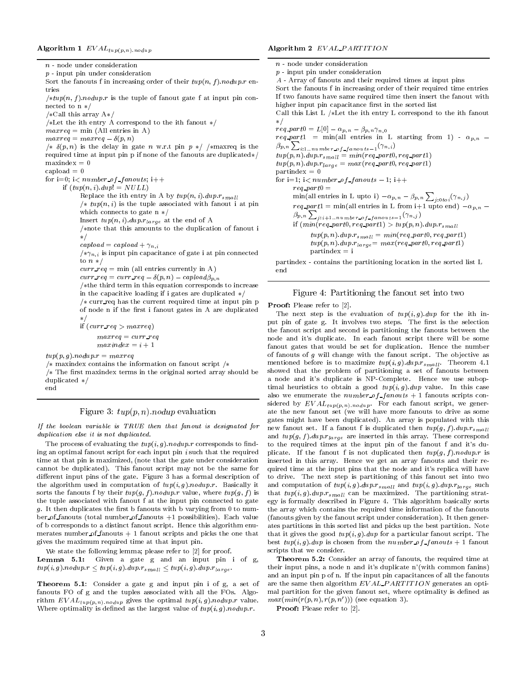n - node under consideration  $p$  - input pin under consideration Sort the fanouts f in increasing order of their  $tup(n, f)$ . nodup. r entries  $\sqrt{u} \cdot \frac{u}{n}$ : f  $\sqrt{u} \cdot \frac{v}{n}$  is the tuple of fanout gate f at input pin connected to  $n \neq l$ /\*Call this array  $A*/$ /\*Let the ith entry A correspond to the ith fanout  $*/$  $maxreq = min (All entries in A)$  $maxreq = maxreq - \delta(p, n)$  $\sqrt{\ast} \delta(p, n)$  is the delay in gate n w.r.t pin  $p \sqrt{\ast}$  /\*maxreq is the required time at input pin p if none of the fanouts are duplicated $*/$  $maxindex = 0$  $capload = 0$ for  $i=0$ ;  $i$  < number of f anouts;  $i$ ++ if  $(tup(n, i).dup! = NULL)$ Replace the ith entry in A by  $tup(n, i).dup.r_{small}$  $\sqrt{\ast} \, \tan(n, i)$  is the tuple associated with fanout i at pin which connects to gate  $n \nless /$ Insert  $tup(n, i).dup.r<sub>large</sub>$  at the end of A  $\sqrt{*n}$  that this amounts to the duplication of fanout i  $\ast/$  $capload = capload + \gamma_{n,i}$  $\sqrt{\alpha_{n,i}}$  is input pin capacitance of gate i at pin connected to  $n \neq$  $curr\_req = min$  (all entries currently in A)  $curr\_req = curr\_req - \delta(p, n) - capload\beta_{p, n}$  $/*$ the third term in this equation corresponds to increase in the capacitive loading if i gates are duplicated  $*/$  $/*$  curr\_req has the current required time at input pin p of node n if the first i fanout gates in A are duplicated  $\ast/$ if  $(curr\_req > maxreq)$  $maxreq = curr\_req$  $maxindex = i + 1$  $tup(p, g)$ .nodup. $r = maxreq$  $/*$  maxindex contains the information on fanout script  $/*$  $/*$  The first maxindex terms in the original sorted array should be duplicated  $*/$ end

### Figure 3:  $tup(p, n)$ . nodup evaluation

If the boolean variable is TRUE then that fanout is designated for duplication else it is not duplicated.

The process of evaluating the  $twp(i, g)$ .  $nodup.r$  corresponds to finding an optimal fanout script for each input pin  $i$  such that the required time at that pin is maximized, (note that the gate under consideration cannot be duplicated). This fanout script may not be the same for different input pins of the gate. Figure 3 has a formal description of the algorithm used in computation of  $tup(i, g)$ . nodup.r. Basically it sorts the fanouts f by their  $t u p(g, f)$ . *nodup.r* value, where  $t u p(g, f)$  is the tuple associated with fanout f at the input pin connected to gate  $q$ . It then duplicates the first b fanouts with b varying from 0 to number of fanouts (total number of fanouts  $+1$  possibilities). Each value of b corresponds to a distinct fanout script. Hence this algorithm enu merates number of fanouts  $+1$  fanout scripts and picks the one that gives the maximum required time at that input pin.

We state the following lemma; please refer to [2] for proof. Lemma 5.1: Given a gate g and an input pin i of g,  $tup(i, g)$ .nodup. $r \leq tup(i, g)$ .dup. $r_{small} \leq tup(i, g)$ .dup. $r_{large}$ .

Theorem 5.1: Consider a gate g and input pin i of g, a set of fanouts FO of g and the tuples associated with all the FOs. Algorithm  $EVAL_{tup(p,n).nodup}$  gives the optimal  $tup(i, g).nodup.r$  value. Where optimality is defined as the largest value of  $tup(i, g)$ .nodup.r.

n - node under consideration p - input pin under consideration A - Array of fanouts and their required times at input pins Sort the fanouts f in increasing order of their required time entries If two fanouts have same required time then insert the fanout with higher input pin capacitance first in the sorted list Call this List L  $/*$  Let the ith entry L correspond to the ith fanout  $\ast/$  $r \in q$  -parto =  $L[v]$  =  $\alpha p, n = \mu p, n \upharpoonright n, 0$  $r \in q$  part = min(all entries in L starting from 1) -  $\alpha p, n$  $\beta_{p,n}\sum_{i:1..number\_of\_fanouts=1}(\gamma_{n,i})$  $tup(p, n).$  dup  $r_{small} = min(req\_part0, req\_part1)$  $\label{eq:2} \begin{aligned} \boldsymbol{t} \boldsymbol{u} \boldsymbol{p}(\boldsymbol{p}, \boldsymbol{n}). \boldsymbol{d} \boldsymbol{u} \boldsymbol{p} . \boldsymbol{r}_{\boldsymbol{l} \, \boldsymbol{a} \, \boldsymbol{r} \, \boldsymbol{g} \boldsymbol{e}} = \, \boldsymbol{m} \boldsymbol{a} \boldsymbol{x} (\boldsymbol{r} \boldsymbol{e} \boldsymbol{q} \boldsymbol{\_} \boldsymbol{p} \boldsymbol{a} \boldsymbol{r} \boldsymbol{t} \boldsymbol{0}, \boldsymbol{r} \boldsymbol{e} \boldsymbol{q} \boldsymbol{\_} \boldsymbol{p} \boldsymbol{a} \boldsymbol{r} \boldsymbol$  $partindex = 0$ for i=1; i<  $number\_of\_fanouts -1$ ; i++  $\min_{\Pi}$  (all entries in L upto i)  $-\alpha_{p,n} - \beta_{p,n} \sum_{j:0\text{ }tot}(\gamma_{n,j})$  $\beta_{p,n} \sum_{j:i+1..numberof-fanouts-1} (\gamma_{n,j})$ if  $(min(req{\text -}part0,req{\text -}part1) > tup(p, n).dup.r_{small}$  $\label{eq:unif} \begin{aligned} \mathit{tup}(p,n).\mathit{dup}.r_{small} = \mathit{min}(\mathit{req\_part0}, \mathit{req\_part1}) \end{aligned}$  $\label{eq:exp} \begin{aligned} \mathit{tup}(p,n).\mathit{dup}.r_\mathit{large} = \mathit{max}(\mathit{req\_part0}, \mathit{req\_part1}) \end{aligned}$  $partindex = i$ partindex - contains the partitioning location in the sorted list L

#### Figure 4: Partitioning the fanout set into two

Proof: Please refer to [2].

The next step is the evaluation of  $tup(i, g).dup$  for the ith input pin of gate g. It involves two steps. The first is the selection the fanout script and second is partitioning the fanouts between the node and it's duplicate. In each fanout script there will be some fanout gates that would be set for duplication. Hence the number of fanouts of  $g$  will change with the fanout script. The objective as mentioned before is to maximize  $t u p(i, g).$   $d u p.r_{small}$ . Theorem 4.1 showed that the problem of partitioning a set of fanouts between a node and it's duplicate is NP-Complete. Hence we use suboptimal heuristics to obtain a good  $tup(i, g).dup$  value. In this case also we enumerate the  $number\_of\_fanouts + 1$  fanouts scripts considered by  $E$ V AL $_{tup(p,n) \dots no \, dup}$ . For each fanout script, we gener-<br>ate the new fanout set (we will have more fanouts to drive as some gates might have been duplicated). An array is populated with this new fanout set. If a fanout f is duplicated then  $t u p(g, f) . d u p . r_{small}$ and  $tup(g, f).dup.r<sub>large</sub>$  are inserted in this array. These correspond to the required times at the input pin of the fanout f and it's duplicate. If the fanout f is not duplicated then  $t u p(q, f)$ . *nodup*. r is inserted in this array. Hence we get an array fanouts and their required time at the input pins that the node and it's replica will have to drive. The next step is partitioning of this fanout set into two and computation of  $t u p(i, g).d u p.r_{small}$  and  $t u p(i, g).d u p.r_{large}$  such that  $t u p(i, g) . d u p . r_{small}$  can be maximized. The partitioning strategy is formally described in Figure 4. This algorithm basically sorts the array which contains the required time information of the fanouts (fanouts given by the fanout script under consideration). It then generates partitions in this sorted list and picks up the best partition. Note that it gives the good  $tup(i, g).dup$  for a particular fanout script. The best  $tup(i, g).dup$  is chosen from the number of fanouts + 1 fanout scripts that we consider.

Theorem 5.2: Consider an array of fanouts, the required time at their input pins, a node n and it's duplicate n'(with common fanins) and an input pin p of n. If the input pin capacitances of all the fanouts are the same then algorithm  $EVAL-PARTITION$  generates an optimal partition for the given fanout set, where optimality is defined as  $max(min(r(p, n), r(p, n')))$  (see equation 3).

Proof: Please refer to [2].